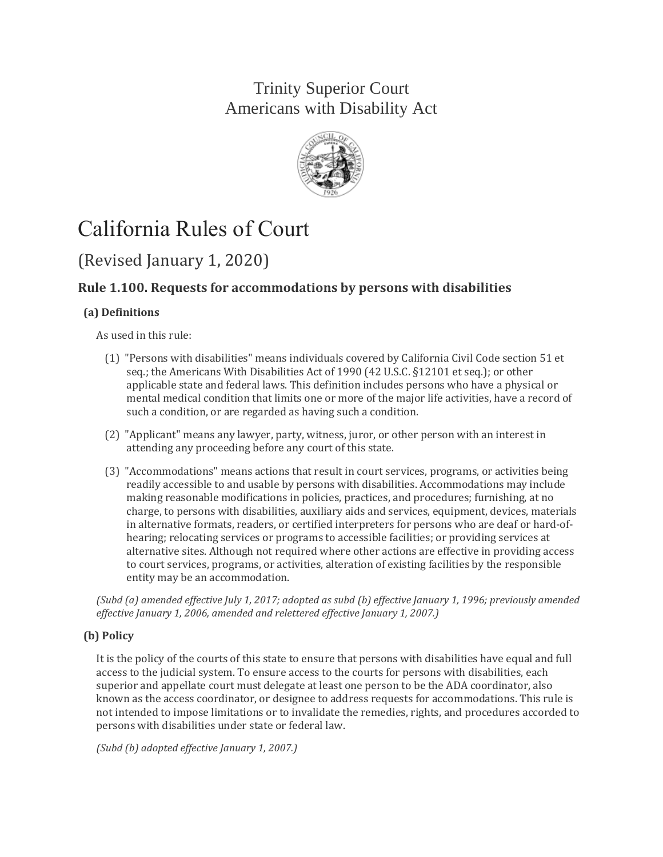## Trinity Superior Court Americans with Disability Act



# California Rules of Court

## (Revised January 1, 2020)

### **Rule 1.100. Requests for accommodations by persons with disabilities**

#### **(a) Definitions**

As used in this rule:

- (1) "Persons with disabilities" means individuals covered by California Civil Code section 51 et seq.; the Americans With Disabilities Act of 1990 (42 U.S.C. §12101 et seq.); or other applicable state and federal laws. This definition includes persons who have a physical or mental medical condition that limits one or more of the major life activities, have a record of such a condition, or are regarded as having such a condition.
- (2) "Applicant" means any lawyer, party, witness, juror, or other person with an interest in attending any proceeding before any court of this state.
- (3) "Accommodations" means actions that result in court services, programs, or activities being readily accessible to and usable by persons with disabilities. Accommodations may include making reasonable modifications in policies, practices, and procedures; furnishing, at no charge, to persons with disabilities, auxiliary aids and services, equipment, devices, materials in alternative formats, readers, or certified interpreters for persons who are deaf or hard-ofhearing; relocating services or programs to accessible facilities; or providing services at alternative sites. Although not required where other actions are effective in providing access to court services, programs, or activities, alteration of existing facilities by the responsible entity may be an accommodation.

*(Subd (a) amended effective July 1, 2017; adopted as subd (b) effective January 1, 1996; previously amended effective January 1, 2006, amended and relettered effective January 1, 2007.)*

#### **(b) Policy**

It is the policy of the courts of this state to ensure that persons with disabilities have equal and full access to the judicial system. To ensure access to the courts for persons with disabilities, each superior and appellate court must delegate at least one person to be the ADA coordinator, also known as the access coordinator, or designee to address requests for accommodations. This rule is not intended to impose limitations or to invalidate the remedies, rights, and procedures accorded to persons with disabilities under state or federal law.

*(Subd (b) adopted effective January 1, 2007.)*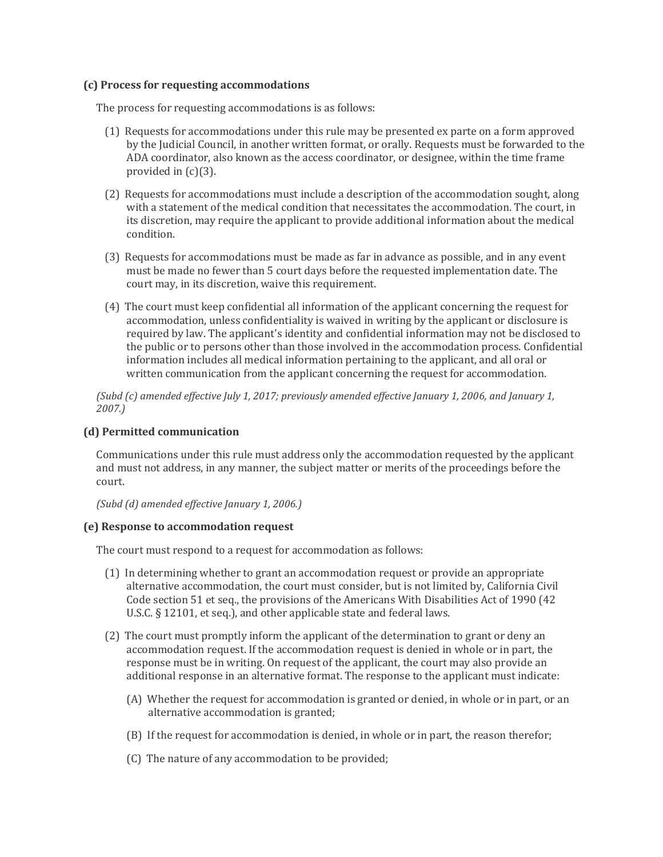#### **(c) Process for requesting accommodations**

The process for requesting accommodations is as follows:

- (1) Requests for accommodations under this rule may be presented ex parte on a form approved by the Judicial Council, in another written format, or orally. Requests must be forwarded to the ADA coordinator, also known as the access coordinator, or designee, within the time frame provided in (c)(3).
- (2) Requests for accommodations must include a description of the accommodation sought, along with a statement of the medical condition that necessitates the accommodation. The court, in its discretion, may require the applicant to provide additional information about the medical condition.
- (3) Requests for accommodations must be made as far in advance as possible, and in any event must be made no fewer than 5 court days before the requested implementation date. The court may, in its discretion, waive this requirement.
- (4) The court must keep confidential all information of the applicant concerning the request for accommodation, unless confidentiality is waived in writing by the applicant or disclosure is required by law. The applicant's identity and confidential information may not be disclosed to the public or to persons other than those involved in the accommodation process. Confidential information includes all medical information pertaining to the applicant, and all oral or written communication from the applicant concerning the request for accommodation.

*(Subd (c) amended effective July 1, 2017; previously amended effective January 1, 2006, and January 1, 2007.)*

#### **(d) Permitted communication**

Communications under this rule must address only the accommodation requested by the applicant and must not address, in any manner, the subject matter or merits of the proceedings before the court.

*(Subd (d) amended effective January 1, 2006.)*

#### **(e) Response to accommodation request**

The court must respond to a request for accommodation as follows:

- (1) In determining whether to grant an accommodation request or provide an appropriate alternative accommodation, the court must consider, but is not limited by, California Civil Code section 51 et seq., the provisions of the Americans With Disabilities Act of 1990 (42 U.S.C. § 12101, et seq.), and other applicable state and federal laws.
- (2) The court must promptly inform the applicant of the determination to grant or deny an accommodation request. If the accommodation request is denied in whole or in part, the response must be in writing. On request of the applicant, the court may also provide an additional response in an alternative format. The response to the applicant must indicate:
	- (A) Whether the request for accommodation is granted or denied, in whole or in part, or an alternative accommodation is granted;
	- (B) If the request for accommodation is denied, in whole or in part, the reason therefor;
	- (C) The nature of any accommodation to be provided;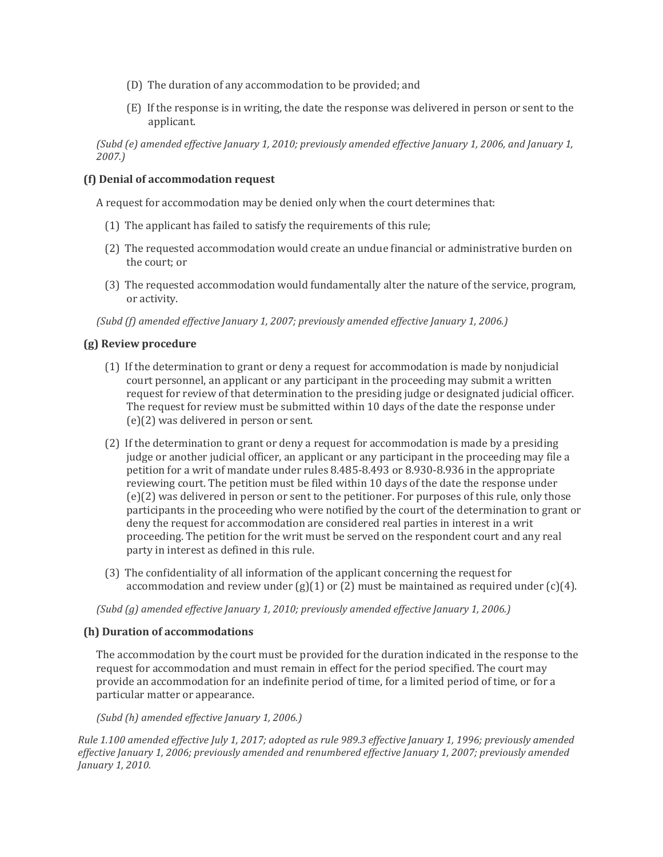- (D) The duration of any accommodation to be provided; and
- (E) If the response is in writing, the date the response was delivered in person or sent to the applicant.

*(Subd (e) amended effective January 1, 2010; previously amended effective January 1, 2006, and January 1, 2007.)*

#### **(f) Denial of accommodation request**

A request for accommodation may be denied only when the court determines that:

- (1) The applicant has failed to satisfy the requirements of this rule;
- (2) The requested accommodation would create an undue financial or administrative burden on the court; or
- (3) The requested accommodation would fundamentally alter the nature of the service, program, or activity.

*(Subd (f) amended effective January 1, 2007; previously amended effective January 1, 2006.)*

#### **(g) Review procedure**

- (1) If the determination to grant or deny a request for accommodation is made by nonjudicial court personnel, an applicant or any participant in the proceeding may submit a written request for review of that determination to the presiding judge or designated judicial officer. The request for review must be submitted within 10 days of the date the response under (e)(2) was delivered in person or sent.
- (2) If the determination to grant or deny a request for accommodation is made by a presiding judge or another judicial officer, an applicant or any participant in the proceeding may file a petition for a writ of mandate under rules 8.485-8.493 or 8.930-8.936 in the appropriate reviewing court. The petition must be filed within 10 days of the date the response under (e)(2) was delivered in person or sent to the petitioner. For purposes of this rule, only those participants in the proceeding who were notified by the court of the determination to grant or deny the request for accommodation are considered real parties in interest in a writ proceeding. The petition for the writ must be served on the respondent court and any real party in interest as defined in this rule.
- (3) The confidentiality of all information of the applicant concerning the request for accommodation and review under  $(g(1)$  or  $(2)$  must be maintained as required under  $(c)(4)$ .

*(Subd (g) amended effective January 1, 2010; previously amended effective January 1, 2006.)*

#### **(h) Duration of accommodations**

The accommodation by the court must be provided for the duration indicated in the response to the request for accommodation and must remain in effect for the period specified. The court may provide an accommodation for an indefinite period of time, for a limited period of time, or for a particular matter or appearance.

*(Subd (h) amended effective January 1, 2006.)*

*Rule 1.100 amended effective July 1, 2017; adopted as rule 989.3 effective January 1, 1996; previously amended effective January 1, 2006; previously amended and renumbered effective January 1, 2007; previously amended January 1, 2010.*